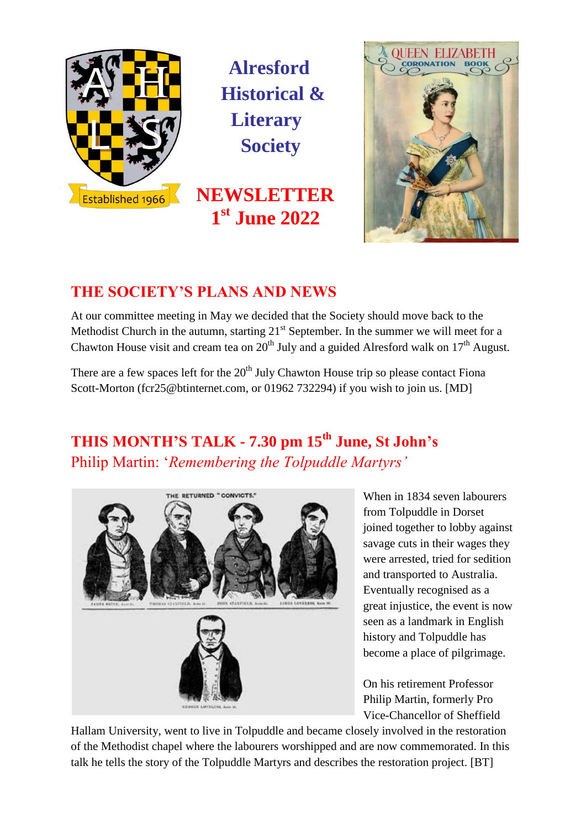

**Alresford Historical & Literary Society**

**NEWSLETTER 1 st June 2022**



## **THE SOCIETY'S PLANS AND NEWS**

At our committee meeting in May we decided that the Society should move back to the Methodist Church in the autumn, starting  $21^{st}$  September. In the summer we will meet for a Chawton House visit and cream tea on  $20^{th}$  July and a guided Alresford walk on  $17^{th}$  August.

There are a few spaces left for the  $20<sup>th</sup>$  July Chawton House trip so please contact Fiona Scott-Morton [\(fcr25@btinternet.com,](mailto:fcr25@btinternet.com) or 01962 732294) if you wish to join us. [MD]

# **THIS MONTH'S TALK - 7.30 pm 15 th June, St John's** Philip Martin: '*Remembering the Tolpuddle Martyrs'*



When in 1834 seven labourers from Tolpuddle in Dorset joined together to lobby against savage cuts in their wages they were arrested, tried for sedition and transported to Australia. Eventually recognised as a great injustice, the event is now seen as a landmark in English history and Tolpuddle has become a place of pilgrimage.

On his retirement Professor Philip Martin, formerly Pro Vice-Chancellor of Sheffield

Hallam University, went to live in Tolpuddle and became closely involved in the restoration of the Methodist chapel where the labourers worshipped and are now commemorated. In this talk he tells the story of the Tolpuddle Martyrs and describes the restoration project. [BT]